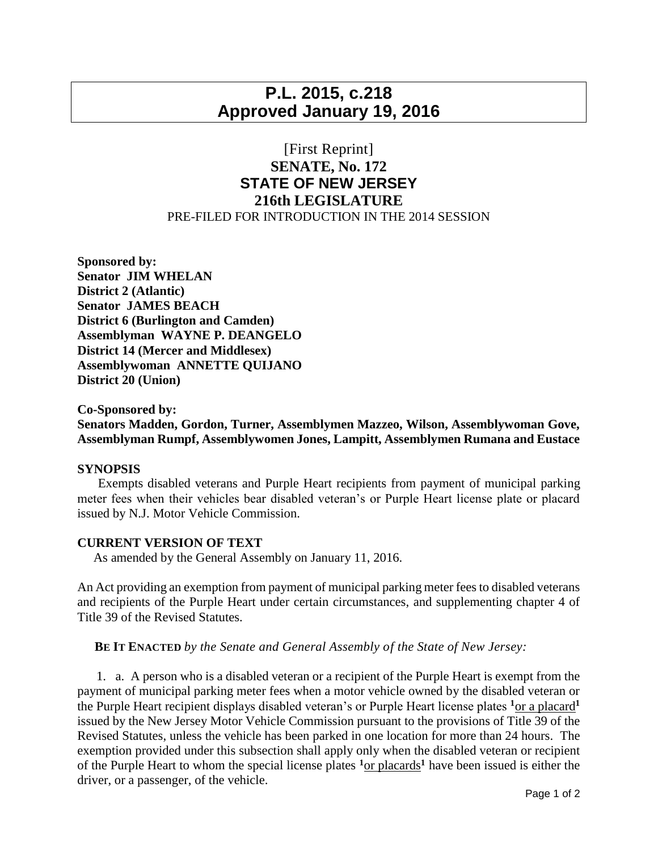# **P.L. 2015, c.218 Approved January 19, 2016**

## [First Reprint] **SENATE, No. 172 STATE OF NEW JERSEY 216th LEGISLATURE** PRE-FILED FOR INTRODUCTION IN THE 2014 SESSION

**Sponsored by: Senator JIM WHELAN District 2 (Atlantic) Senator JAMES BEACH District 6 (Burlington and Camden) Assemblyman WAYNE P. DEANGELO District 14 (Mercer and Middlesex) Assemblywoman ANNETTE QUIJANO District 20 (Union)**

#### **Co-Sponsored by:**

**Senators Madden, Gordon, Turner, Assemblymen Mazzeo, Wilson, Assemblywoman Gove, Assemblyman Rumpf, Assemblywomen Jones, Lampitt, Assemblymen Rumana and Eustace**

### **SYNOPSIS**

 Exempts disabled veterans and Purple Heart recipients from payment of municipal parking meter fees when their vehicles bear disabled veteran's or Purple Heart license plate or placard issued by N.J. Motor Vehicle Commission.

#### **CURRENT VERSION OF TEXT**

As amended by the General Assembly on January 11, 2016.

An Act providing an exemption from payment of municipal parking meter fees to disabled veterans and recipients of the Purple Heart under certain circumstances, and supplementing chapter 4 of Title 39 of the Revised Statutes.

**BE IT ENACTED** *by the Senate and General Assembly of the State of New Jersey:*

 1. a. A person who is a disabled veteran or a recipient of the Purple Heart is exempt from the payment of municipal parking meter fees when a motor vehicle owned by the disabled veteran or the Purple Heart recipient displays disabled veteran's or Purple Heart license plates **<sup>1</sup>**or a placard**<sup>1</sup>** issued by the New Jersey Motor Vehicle Commission pursuant to the provisions of Title 39 of the Revised Statutes, unless the vehicle has been parked in one location for more than 24 hours. The exemption provided under this subsection shall apply only when the disabled veteran or recipient of the Purple Heart to whom the special license plates **<sup>1</sup>**or placards**<sup>1</sup>** have been issued is either the driver, or a passenger, of the vehicle.